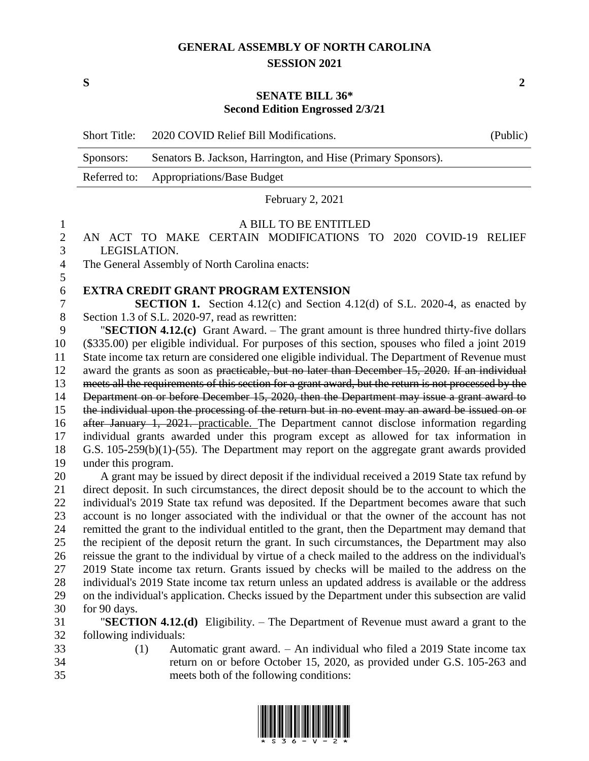## **GENERAL ASSEMBLY OF NORTH CAROLINA SESSION 2021**

**S 2**

### **SENATE BILL 36\* Second Edition Engrossed 2/3/21**

| <b>Short Title:</b> | 2020 COVID Relief Bill Modifications.                         | (Public) |
|---------------------|---------------------------------------------------------------|----------|
| Sponsors:           | Senators B. Jackson, Harrington, and Hise (Primary Sponsors). |          |
|                     | Referred to: Appropriations/Base Budget                       |          |

February 2, 2021

## A BILL TO BE ENTITLED

 AN ACT TO MAKE CERTAIN MODIFICATIONS TO 2020 COVID-19 RELIEF LEGISLATION.

 The General Assembly of North Carolina enacts: 

# **EXTRA CREDIT GRANT PROGRAM EXTENSION**

 **SECTION 1.** Section 4.12(c) and Section 4.12(d) of S.L. 2020-4, as enacted by Section 1.3 of S.L. 2020-97, read as rewritten:

 "**SECTION 4.12.(c)** Grant Award. – The grant amount is three hundred thirty-five dollars (\$335.00) per eligible individual. For purposes of this section, spouses who filed a joint 2019 State income tax return are considered one eligible individual. The Department of Revenue must award the grants as soon as practicable, but no later than December 15, 2020. If an individual meets all the requirements of this section for a grant award, but the return is not processed by the 14 Department on or before December 15, 2020, then the Department may issue a grant award to the individual upon the processing of the return but in no event may an award be issued on or after January 1, 2021. practicable. The Department cannot disclose information regarding individual grants awarded under this program except as allowed for tax information in G.S. 105-259(b)(1)-(55). The Department may report on the aggregate grant awards provided under this program.

 A grant may be issued by direct deposit if the individual received a 2019 State tax refund by direct deposit. In such circumstances, the direct deposit should be to the account to which the individual's 2019 State tax refund was deposited. If the Department becomes aware that such account is no longer associated with the individual or that the owner of the account has not remitted the grant to the individual entitled to the grant, then the Department may demand that the recipient of the deposit return the grant. In such circumstances, the Department may also reissue the grant to the individual by virtue of a check mailed to the address on the individual's 2019 State income tax return. Grants issued by checks will be mailed to the address on the individual's 2019 State income tax return unless an updated address is available or the address on the individual's application. Checks issued by the Department under this subsection are valid for 90 days.

 "**SECTION 4.12.(d)** Eligibility. – The Department of Revenue must award a grant to the following individuals:

- 
- (1) Automatic grant award. An individual who filed a 2019 State income tax return on or before October 15, 2020, as provided under G.S. 105-263 and meets both of the following conditions:

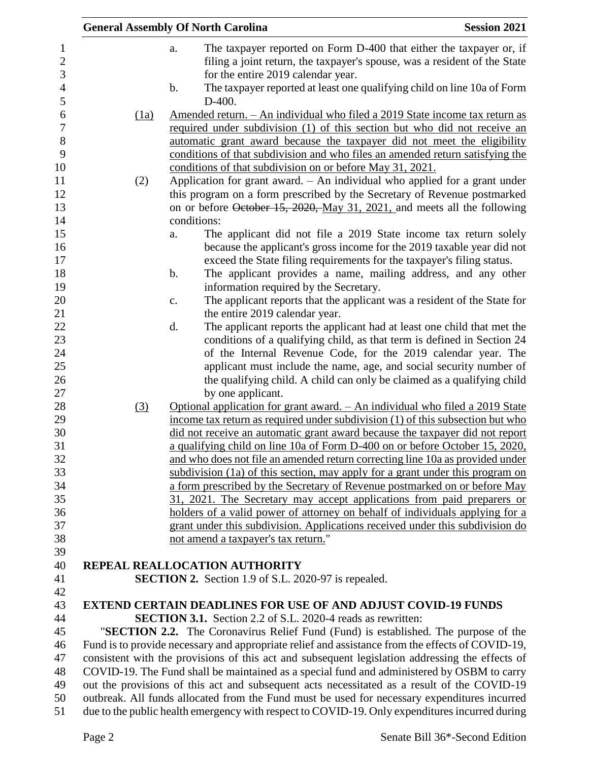|      | <b>General Assembly Of North Carolina</b>                                                                                                                     | <b>Session 2021</b> |
|------|---------------------------------------------------------------------------------------------------------------------------------------------------------------|---------------------|
|      | The taxpayer reported on Form D-400 that either the taxpayer or, if<br>a.                                                                                     |                     |
|      | filing a joint return, the taxpayer's spouse, was a resident of the State                                                                                     |                     |
|      | for the entire 2019 calendar year.                                                                                                                            |                     |
|      | The taxpayer reported at least one qualifying child on line 10a of Form<br>b.                                                                                 |                     |
|      | $D-400.$                                                                                                                                                      |                     |
| (1a) | <u>Amended return. – An individual who filed a 2019 State income tax return as</u>                                                                            |                     |
|      | required under subdivision (1) of this section but who did not receive an                                                                                     |                     |
|      | automatic grant award because the taxpayer did not meet the eligibility                                                                                       |                     |
|      | conditions of that subdivision and who files an amended return satisfying the                                                                                 |                     |
|      | conditions of that subdivision on or before May 31, 2021.                                                                                                     |                     |
| (2)  | Application for grant award. $-$ An individual who applied for a grant under                                                                                  |                     |
|      | this program on a form prescribed by the Secretary of Revenue postmarked                                                                                      |                     |
|      | on or before October 15, 2020, May 31, 2021, and meets all the following                                                                                      |                     |
|      | conditions:                                                                                                                                                   |                     |
|      | The applicant did not file a 2019 State income tax return solely<br>a.<br>because the applicant's gross income for the 2019 taxable year did not              |                     |
|      | exceed the State filing requirements for the taxpayer's filing status.                                                                                        |                     |
|      | The applicant provides a name, mailing address, and any other<br>b.                                                                                           |                     |
|      | information required by the Secretary.                                                                                                                        |                     |
|      | The applicant reports that the applicant was a resident of the State for<br>c.                                                                                |                     |
|      | the entire 2019 calendar year.                                                                                                                                |                     |
|      | The applicant reports the applicant had at least one child that met the<br>d.                                                                                 |                     |
|      | conditions of a qualifying child, as that term is defined in Section 24                                                                                       |                     |
|      | of the Internal Revenue Code, for the 2019 calendar year. The                                                                                                 |                     |
|      | applicant must include the name, age, and social security number of                                                                                           |                     |
|      | the qualifying child. A child can only be claimed as a qualifying child                                                                                       |                     |
|      | by one applicant.                                                                                                                                             |                     |
| (3)  | Optional application for grant award. - An individual who filed a 2019 State                                                                                  |                     |
|      | income tax return as required under subdivision (1) of this subsection but who                                                                                |                     |
|      | did not receive an automatic grant award because the taxpayer did not report                                                                                  |                     |
|      | a qualifying child on line 10a of Form D-400 on or before October 15, 2020,                                                                                   |                     |
|      | and who does not file an amended return correcting line 10a as provided under                                                                                 |                     |
|      | subdivision (1a) of this section, may apply for a grant under this program on                                                                                 |                     |
|      | a form prescribed by the Secretary of Revenue postmarked on or before May                                                                                     |                     |
|      | 31, 2021. The Secretary may accept applications from paid preparers or                                                                                        |                     |
|      | holders of a valid power of attorney on behalf of individuals applying for a<br>grant under this subdivision. Applications received under this subdivision do |                     |
|      | not amend a taxpayer's tax return."                                                                                                                           |                     |
|      |                                                                                                                                                               |                     |
|      | REPEAL REALLOCATION AUTHORITY                                                                                                                                 |                     |
|      | <b>SECTION 2.</b> Section 1.9 of S.L. 2020-97 is repealed.                                                                                                    |                     |
|      |                                                                                                                                                               |                     |
|      | <b>EXTEND CERTAIN DEADLINES FOR USE OF AND ADJUST COVID-19 FUNDS</b>                                                                                          |                     |
|      | <b>SECTION 3.1.</b> Section 2.2 of S.L. 2020-4 reads as rewritten:                                                                                            |                     |
|      | "SECTION 2.2. The Coronavirus Relief Fund (Fund) is established. The purpose of the                                                                           |                     |
|      | Fund is to provide necessary and appropriate relief and assistance from the effects of COVID-19,                                                              |                     |
|      | consistent with the provisions of this act and subsequent legislation addressing the effects of                                                               |                     |
|      | COVID-19. The Fund shall be maintained as a special fund and administered by OSBM to carry                                                                    |                     |
|      | out the provisions of this act and subsequent acts necessitated as a result of the COVID-19                                                                   |                     |
|      | outbreak. All funds allocated from the Fund must be used for necessary expenditures incurred                                                                  |                     |
|      | due to the public health emergency with respect to COVID-19. Only expenditures incurred during                                                                |                     |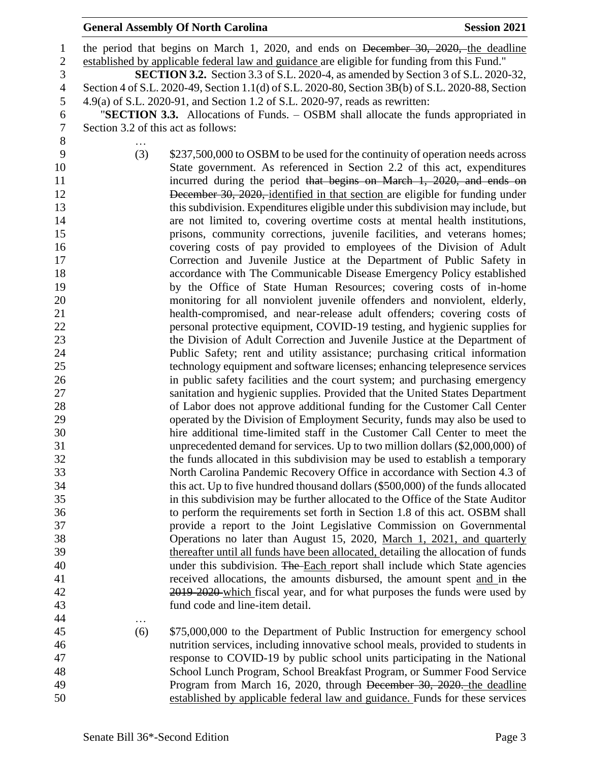#### **General Assembly Of North Carolina Session 2021**

 the period that begins on March 1, 2020, and ends on December 30, 2020, the deadline established by applicable federal law and guidance are eligible for funding from this Fund." **SECTION 3.2.** Section 3.3 of S.L. 2020-4, as amended by Section 3 of S.L. 2020-32, Section 4 of S.L. 2020-49, Section 1.1(d) of S.L. 2020-80, Section 3B(b) of S.L. 2020-88, Section 4.9(a) of S.L. 2020-91, and Section 1.2 of S.L. 2020-97, reads as rewritten: "**SECTION 3.3.** Allocations of Funds. – OSBM shall allocate the funds appropriated in Section 3.2 of this act as follows: … (3) \$237,500,000 to OSBM to be used for the continuity of operation needs across State government. As referenced in Section 2.2 of this act, expenditures 11 incurred during the period that begins on March 1, 2020, and ends on 12 December 30, 2020, identified in that section are eligible for funding under this subdivision. Expenditures eligible under this subdivision may include, but are not limited to, covering overtime costs at mental health institutions, prisons, community corrections, juvenile facilities, and veterans homes; covering costs of pay provided to employees of the Division of Adult Correction and Juvenile Justice at the Department of Public Safety in accordance with The Communicable Disease Emergency Policy established by the Office of State Human Resources; covering costs of in-home monitoring for all nonviolent juvenile offenders and nonviolent, elderly, health-compromised, and near-release adult offenders; covering costs of personal protective equipment, COVID-19 testing, and hygienic supplies for the Division of Adult Correction and Juvenile Justice at the Department of Public Safety; rent and utility assistance; purchasing critical information technology equipment and software licenses; enhancing telepresence services in public safety facilities and the court system; and purchasing emergency sanitation and hygienic supplies. Provided that the United States Department of Labor does not approve additional funding for the Customer Call Center operated by the Division of Employment Security, funds may also be used to hire additional time-limited staff in the Customer Call Center to meet the unprecedented demand for services. Up to two million dollars (\$2,000,000) of the funds allocated in this subdivision may be used to establish a temporary North Carolina Pandemic Recovery Office in accordance with Section 4.3 of this act. Up to five hundred thousand dollars (\$500,000) of the funds allocated in this subdivision may be further allocated to the Office of the State Auditor to perform the requirements set forth in Section 1.8 of this act. OSBM shall provide a report to the Joint Legislative Commission on Governmental Operations no later than August 15, 2020, March 1, 2021, and quarterly thereafter until all funds have been allocated, detailing the allocation of funds 40 under this subdivision. The Each report shall include which State agencies received allocations, the amounts disbursed, the amount spent and in the 2019-2020 which fiscal year, and for what purposes the funds were used by fund code and line-item detail. … (6) \$75,000,000 to the Department of Public Instruction for emergency school nutrition services, including innovative school meals, provided to students in response to COVID-19 by public school units participating in the National School Lunch Program, School Breakfast Program, or Summer Food Service 49 Program from March 16, 2020, through December 30, 2020. the deadline established by applicable federal law and guidance. Funds for these services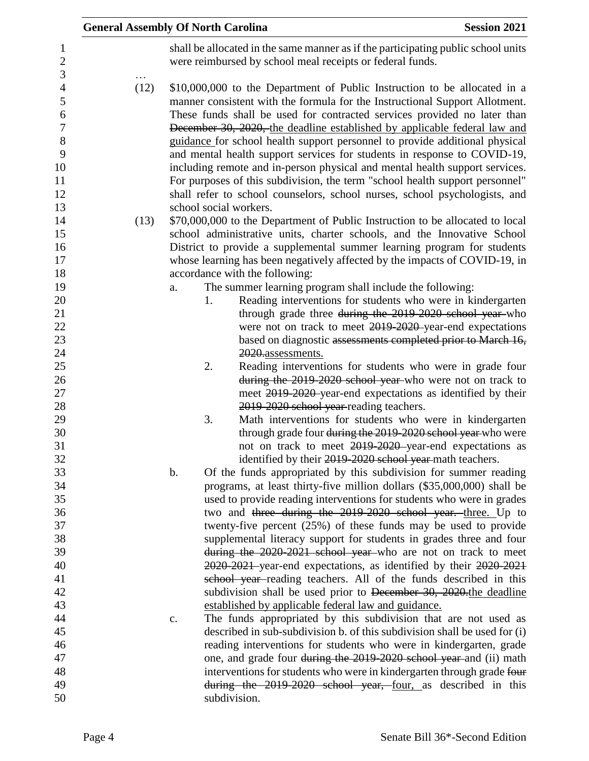|      | <b>General Assembly Of North Carolina</b>                                                                                                                                                                                                                                                                                                                                                                                                                                                                                                                                                                                                                                                                                 | <b>Session 2021</b> |
|------|---------------------------------------------------------------------------------------------------------------------------------------------------------------------------------------------------------------------------------------------------------------------------------------------------------------------------------------------------------------------------------------------------------------------------------------------------------------------------------------------------------------------------------------------------------------------------------------------------------------------------------------------------------------------------------------------------------------------------|---------------------|
|      | shall be allocated in the same manner as if the participating public school units<br>were reimbursed by school meal receipts or federal funds.                                                                                                                                                                                                                                                                                                                                                                                                                                                                                                                                                                            |                     |
| (12) | \$10,000,000 to the Department of Public Instruction to be allocated in a<br>manner consistent with the formula for the Instructional Support Allotment.<br>These funds shall be used for contracted services provided no later than<br>December 30, 2020, the deadline established by applicable federal law and<br>guidance for school health support personnel to provide additional physical<br>and mental health support services for students in response to COVID-19,<br>including remote and in-person physical and mental health support services.<br>For purposes of this subdivision, the term "school health support personnel"<br>shall refer to school counselors, school nurses, school psychologists, and |                     |
|      | school social workers.                                                                                                                                                                                                                                                                                                                                                                                                                                                                                                                                                                                                                                                                                                    |                     |
| (13) | \$70,000,000 to the Department of Public Instruction to be allocated to local<br>school administrative units, charter schools, and the Innovative School<br>District to provide a supplemental summer learning program for students<br>whose learning has been negatively affected by the impacts of COVID-19, in                                                                                                                                                                                                                                                                                                                                                                                                         |                     |
|      | accordance with the following:                                                                                                                                                                                                                                                                                                                                                                                                                                                                                                                                                                                                                                                                                            |                     |
|      | The summer learning program shall include the following:<br>a.<br>Reading interventions for students who were in kindergarten<br>1.                                                                                                                                                                                                                                                                                                                                                                                                                                                                                                                                                                                       |                     |
|      | through grade three during the 2019 2020 school year-who                                                                                                                                                                                                                                                                                                                                                                                                                                                                                                                                                                                                                                                                  |                     |
|      | were not on track to meet 2019-2020-year-end expectations                                                                                                                                                                                                                                                                                                                                                                                                                                                                                                                                                                                                                                                                 |                     |
|      | based on diagnostic assessments completed prior to March 16,                                                                                                                                                                                                                                                                                                                                                                                                                                                                                                                                                                                                                                                              |                     |
|      | 2020.assessments.                                                                                                                                                                                                                                                                                                                                                                                                                                                                                                                                                                                                                                                                                                         |                     |
|      | Reading interventions for students who were in grade four<br>2.<br>during the 2019-2020 school year-who were not on track to<br>meet 2019 2020 year-end expectations as identified by their                                                                                                                                                                                                                                                                                                                                                                                                                                                                                                                               |                     |
|      | 2019-2020 school year-reading teachers.                                                                                                                                                                                                                                                                                                                                                                                                                                                                                                                                                                                                                                                                                   |                     |
|      | Math interventions for students who were in kindergarten<br>3.                                                                                                                                                                                                                                                                                                                                                                                                                                                                                                                                                                                                                                                            |                     |
|      | through grade four during the 2019-2020 school year who were                                                                                                                                                                                                                                                                                                                                                                                                                                                                                                                                                                                                                                                              |                     |
|      | not on track to meet 2019-2020 year-end expectations as                                                                                                                                                                                                                                                                                                                                                                                                                                                                                                                                                                                                                                                                   |                     |
|      | identified by their 2019-2020 school year math teachers.<br>Of the funds appropriated by this subdivision for summer reading<br>b.                                                                                                                                                                                                                                                                                                                                                                                                                                                                                                                                                                                        |                     |
|      | programs, at least thirty-five million dollars (\$35,000,000) shall be                                                                                                                                                                                                                                                                                                                                                                                                                                                                                                                                                                                                                                                    |                     |
|      | used to provide reading interventions for students who were in grades                                                                                                                                                                                                                                                                                                                                                                                                                                                                                                                                                                                                                                                     |                     |
|      | two and three during the 2019-2020 school year. three. Up to                                                                                                                                                                                                                                                                                                                                                                                                                                                                                                                                                                                                                                                              |                     |
|      | twenty-five percent $(25%)$ of these funds may be used to provide                                                                                                                                                                                                                                                                                                                                                                                                                                                                                                                                                                                                                                                         |                     |
|      | supplemental literacy support for students in grades three and four                                                                                                                                                                                                                                                                                                                                                                                                                                                                                                                                                                                                                                                       |                     |
|      | during the 2020-2021 school year who are not on track to meet                                                                                                                                                                                                                                                                                                                                                                                                                                                                                                                                                                                                                                                             |                     |
|      | 2020-2021 year-end expectations, as identified by their 2020-2021                                                                                                                                                                                                                                                                                                                                                                                                                                                                                                                                                                                                                                                         |                     |
|      | school year-reading teachers. All of the funds described in this<br>subdivision shall be used prior to December 30, 2020 the deadline                                                                                                                                                                                                                                                                                                                                                                                                                                                                                                                                                                                     |                     |
|      | established by applicable federal law and guidance.                                                                                                                                                                                                                                                                                                                                                                                                                                                                                                                                                                                                                                                                       |                     |
|      | The funds appropriated by this subdivision that are not used as<br>c.                                                                                                                                                                                                                                                                                                                                                                                                                                                                                                                                                                                                                                                     |                     |
|      | described in sub-subdivision b. of this subdivision shall be used for (i)                                                                                                                                                                                                                                                                                                                                                                                                                                                                                                                                                                                                                                                 |                     |
|      | reading interventions for students who were in kindergarten, grade                                                                                                                                                                                                                                                                                                                                                                                                                                                                                                                                                                                                                                                        |                     |
|      | one, and grade four during the 2019-2020 school year and (ii) math                                                                                                                                                                                                                                                                                                                                                                                                                                                                                                                                                                                                                                                        |                     |
|      | interventions for students who were in kindergarten through grade four                                                                                                                                                                                                                                                                                                                                                                                                                                                                                                                                                                                                                                                    |                     |
|      | during the 2019-2020 school year, four, as described in this                                                                                                                                                                                                                                                                                                                                                                                                                                                                                                                                                                                                                                                              |                     |
|      | subdivision.                                                                                                                                                                                                                                                                                                                                                                                                                                                                                                                                                                                                                                                                                                              |                     |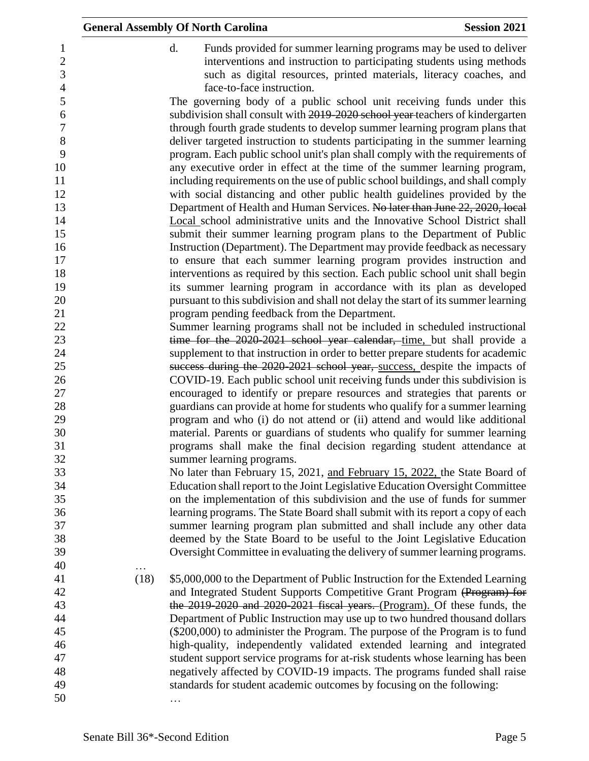d. Funds provided for summer learning programs may be used to deliver interventions and instruction to participating students using methods such as digital resources, printed materials, literacy coaches, and face-to-face instruction.

 The governing body of a public school unit receiving funds under this subdivision shall consult with 2019-2020 school year teachers of kindergarten through fourth grade students to develop summer learning program plans that deliver targeted instruction to students participating in the summer learning program. Each public school unit's plan shall comply with the requirements of any executive order in effect at the time of the summer learning program, including requirements on the use of public school buildings, and shall comply with social distancing and other public health guidelines provided by the 13 Department of Health and Human Services. No later than June 22, 2020, local Local school administrative units and the Innovative School District shall submit their summer learning program plans to the Department of Public Instruction (Department). The Department may provide feedback as necessary to ensure that each summer learning program provides instruction and interventions as required by this section. Each public school unit shall begin its summer learning program in accordance with its plan as developed pursuant to this subdivision and shall not delay the start of its summer learning program pending feedback from the Department.

- Summer learning programs shall not be included in scheduled instructional 23 time for the 2020-2021 school year calendar, time, but shall provide a supplement to that instruction in order to better prepare students for academic success during the 2020-2021 school year, success, despite the impacts of COVID-19. Each public school unit receiving funds under this subdivision is encouraged to identify or prepare resources and strategies that parents or guardians can provide at home for students who qualify for a summer learning program and who (i) do not attend or (ii) attend and would like additional material. Parents or guardians of students who qualify for summer learning programs shall make the final decision regarding student attendance at summer learning programs.
- No later than February 15, 2021, and February 15, 2022, the State Board of Education shall report to the Joint Legislative Education Oversight Committee on the implementation of this subdivision and the use of funds for summer learning programs. The State Board shall submit with its report a copy of each summer learning program plan submitted and shall include any other data deemed by the State Board to be useful to the Joint Legislative Education Oversight Committee in evaluating the delivery of summer learning programs.
- … (18) \$5,000,000 to the Department of Public Instruction for the Extended Learning and Integrated Student Supports Competitive Grant Program (Program) for 43 the 2019-2020 and 2020-2021 fiscal years. (Program). Of these funds, the Department of Public Instruction may use up to two hundred thousand dollars (\$200,000) to administer the Program. The purpose of the Program is to fund high-quality, independently validated extended learning and integrated student support service programs for at-risk students whose learning has been negatively affected by COVID-19 impacts. The programs funded shall raise standards for student academic outcomes by focusing on the following: …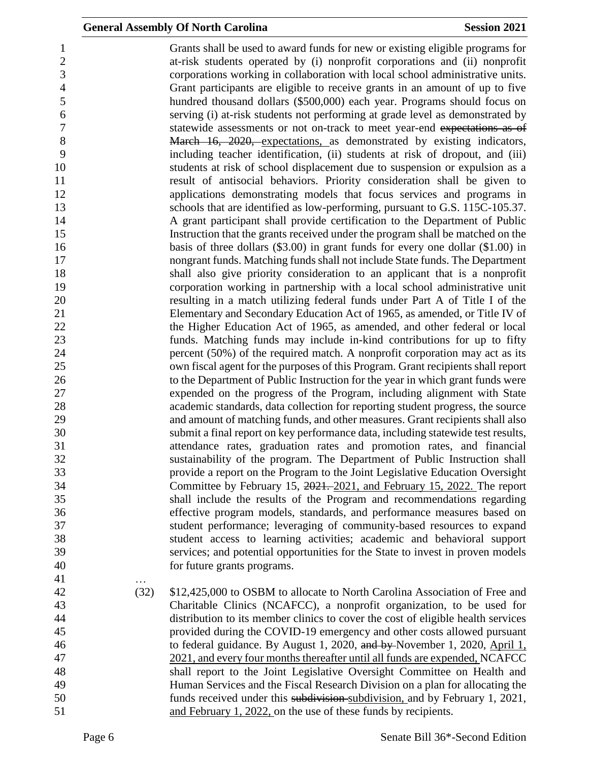Grants shall be used to award funds for new or existing eligible programs for at-risk students operated by (i) nonprofit corporations and (ii) nonprofit corporations working in collaboration with local school administrative units. Grant participants are eligible to receive grants in an amount of up to five hundred thousand dollars (\$500,000) each year. Programs should focus on serving (i) at-risk students not performing at grade level as demonstrated by statewide assessments or not on-track to meet year-end expectations as of 8 March 16, 2020, expectations, as demonstrated by existing indicators, including teacher identification, (ii) students at risk of dropout, and (iii) students at risk of school displacement due to suspension or expulsion as a result of antisocial behaviors. Priority consideration shall be given to applications demonstrating models that focus services and programs in schools that are identified as low-performing, pursuant to G.S. 115C-105.37. A grant participant shall provide certification to the Department of Public Instruction that the grants received under the program shall be matched on the 16 basis of three dollars (\$3.00) in grant funds for every one dollar (\$1.00) in nongrant funds. Matching funds shall not include State funds. The Department shall also give priority consideration to an applicant that is a nonprofit corporation working in partnership with a local school administrative unit resulting in a match utilizing federal funds under Part A of Title I of the Elementary and Secondary Education Act of 1965, as amended, or Title IV of 22 the Higher Education Act of 1965, as amended, and other federal or local funds. Matching funds may include in-kind contributions for up to fifty percent (50%) of the required match. A nonprofit corporation may act as its own fiscal agent for the purposes of this Program. Grant recipients shall report to the Department of Public Instruction for the year in which grant funds were expended on the progress of the Program, including alignment with State academic standards, data collection for reporting student progress, the source and amount of matching funds, and other measures. Grant recipients shall also submit a final report on key performance data, including statewide test results, attendance rates, graduation rates and promotion rates, and financial sustainability of the program. The Department of Public Instruction shall provide a report on the Program to the Joint Legislative Education Oversight Committee by February 15, 2021. 2021, and February 15, 2022. The report shall include the results of the Program and recommendations regarding effective program models, standards, and performance measures based on student performance; leveraging of community-based resources to expand student access to learning activities; academic and behavioral support services; and potential opportunities for the State to invest in proven models for future grants programs. … (32) \$12,425,000 to OSBM to allocate to North Carolina Association of Free and Charitable Clinics (NCAFCC), a nonprofit organization, to be used for distribution to its member clinics to cover the cost of eligible health services provided during the COVID-19 emergency and other costs allowed pursuant 46 to federal guidance. By August 1, 2020, and by November 1, 2020, April 1, 2021, and every four months thereafter until all funds are expended, NCAFCC

 shall report to the Joint Legislative Oversight Committee on Health and Human Services and the Fiscal Research Division on a plan for allocating the funds received under this subdivision subdivision, and by February 1, 2021, and February 1, 2022, on the use of these funds by recipients.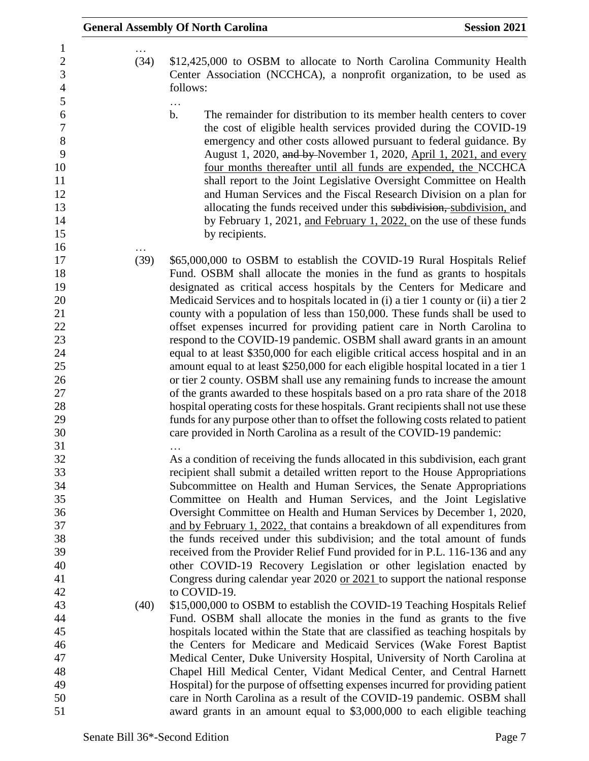…

- … (34) \$12,425,000 to OSBM to allocate to North Carolina Community Health Center Association (NCCHCA), a nonprofit organization, to be used as follows:
- … b. The remainder for distribution to its member health centers to cover the cost of eligible health services provided during the COVID-19 emergency and other costs allowed pursuant to federal guidance. By 9 August 1, 2020, and by November 1, 2020, April 1, 2021, and every four months thereafter until all funds are expended, the NCCHCA shall report to the Joint Legislative Oversight Committee on Health and Human Services and the Fiscal Research Division on a plan for 13 **allocating the funds received under this <del>subdivision, s</del>ubdivision, and** 14 by February 1, 2021, and February 1, 2022, on the use of these funds 15 by recipients.
- (39) \$65,000,000 to OSBM to establish the COVID-19 Rural Hospitals Relief Fund. OSBM shall allocate the monies in the fund as grants to hospitals designated as critical access hospitals by the Centers for Medicare and Medicaid Services and to hospitals located in (i) a tier 1 county or (ii) a tier 2 county with a population of less than 150,000. These funds shall be used to offset expenses incurred for providing patient care in North Carolina to respond to the COVID-19 pandemic. OSBM shall award grants in an amount equal to at least \$350,000 for each eligible critical access hospital and in an amount equal to at least \$250,000 for each eligible hospital located in a tier 1 or tier 2 county. OSBM shall use any remaining funds to increase the amount of the grants awarded to these hospitals based on a pro rata share of the 2018 hospital operating costs for these hospitals. Grant recipients shall not use these funds for any purpose other than to offset the following costs related to patient care provided in North Carolina as a result of the COVID-19 pandemic: …

 As a condition of receiving the funds allocated in this subdivision, each grant recipient shall submit a detailed written report to the House Appropriations Subcommittee on Health and Human Services, the Senate Appropriations Committee on Health and Human Services, and the Joint Legislative Oversight Committee on Health and Human Services by December 1, 2020, and by February 1, 2022, that contains a breakdown of all expenditures from the funds received under this subdivision; and the total amount of funds received from the Provider Relief Fund provided for in P.L. 116-136 and any other COVID-19 Recovery Legislation or other legislation enacted by Congress during calendar year 2020 or 2021 to support the national response to COVID-19.

 (40) \$15,000,000 to OSBM to establish the COVID-19 Teaching Hospitals Relief Fund. OSBM shall allocate the monies in the fund as grants to the five hospitals located within the State that are classified as teaching hospitals by the Centers for Medicare and Medicaid Services (Wake Forest Baptist Medical Center, Duke University Hospital, University of North Carolina at Chapel Hill Medical Center, Vidant Medical Center, and Central Harnett Hospital) for the purpose of offsetting expenses incurred for providing patient care in North Carolina as a result of the COVID-19 pandemic. OSBM shall award grants in an amount equal to \$3,000,000 to each eligible teaching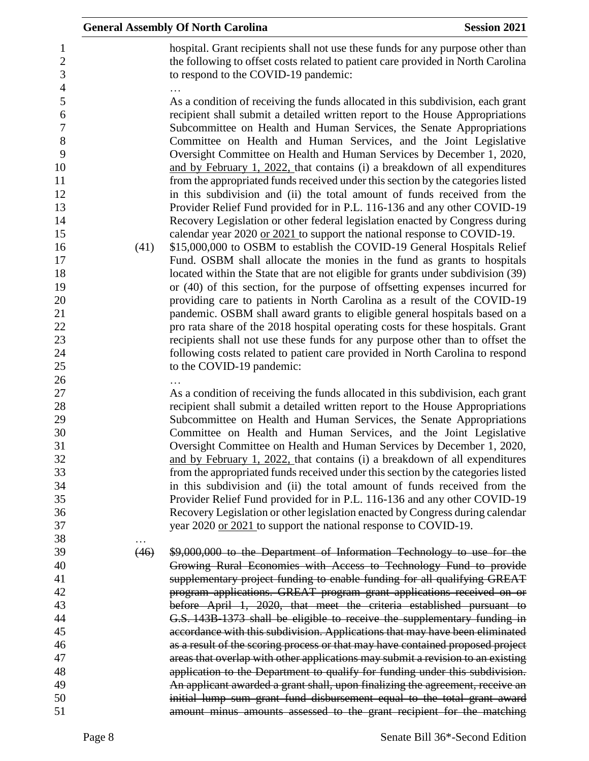|      | <b>General Assembly Of North Carolina</b><br><b>Session 2021</b>                                                                                                                                                                                                                                                                                                                                                                                                                                                                                                                                                                                                                                                                                                                                |
|------|-------------------------------------------------------------------------------------------------------------------------------------------------------------------------------------------------------------------------------------------------------------------------------------------------------------------------------------------------------------------------------------------------------------------------------------------------------------------------------------------------------------------------------------------------------------------------------------------------------------------------------------------------------------------------------------------------------------------------------------------------------------------------------------------------|
|      | hospital. Grant recipients shall not use these funds for any purpose other than<br>the following to offset costs related to patient care provided in North Carolina<br>to respond to the COVID-19 pandemic:                                                                                                                                                                                                                                                                                                                                                                                                                                                                                                                                                                                     |
|      | As a condition of receiving the funds allocated in this subdivision, each grant<br>recipient shall submit a detailed written report to the House Appropriations<br>Subcommittee on Health and Human Services, the Senate Appropriations<br>Committee on Health and Human Services, and the Joint Legislative<br>Oversight Committee on Health and Human Services by December 1, 2020,<br>and by February 1, 2022, that contains (i) a breakdown of all expenditures<br>from the appropriated funds received under this section by the categories listed<br>in this subdivision and (ii) the total amount of funds received from the<br>Provider Relief Fund provided for in P.L. 116-136 and any other COVID-19<br>Recovery Legislation or other federal legislation enacted by Congress during |
|      | calendar year 2020 or 2021 to support the national response to COVID-19.                                                                                                                                                                                                                                                                                                                                                                                                                                                                                                                                                                                                                                                                                                                        |
| (41) | \$15,000,000 to OSBM to establish the COVID-19 General Hospitals Relief                                                                                                                                                                                                                                                                                                                                                                                                                                                                                                                                                                                                                                                                                                                         |
|      | Fund. OSBM shall allocate the monies in the fund as grants to hospitals                                                                                                                                                                                                                                                                                                                                                                                                                                                                                                                                                                                                                                                                                                                         |
|      | located within the State that are not eligible for grants under subdivision (39)                                                                                                                                                                                                                                                                                                                                                                                                                                                                                                                                                                                                                                                                                                                |
|      | or (40) of this section, for the purpose of offsetting expenses incurred for                                                                                                                                                                                                                                                                                                                                                                                                                                                                                                                                                                                                                                                                                                                    |
|      | providing care to patients in North Carolina as a result of the COVID-19                                                                                                                                                                                                                                                                                                                                                                                                                                                                                                                                                                                                                                                                                                                        |
|      | pandemic. OSBM shall award grants to eligible general hospitals based on a                                                                                                                                                                                                                                                                                                                                                                                                                                                                                                                                                                                                                                                                                                                      |
|      | pro rata share of the 2018 hospital operating costs for these hospitals. Grant                                                                                                                                                                                                                                                                                                                                                                                                                                                                                                                                                                                                                                                                                                                  |
|      | recipients shall not use these funds for any purpose other than to offset the                                                                                                                                                                                                                                                                                                                                                                                                                                                                                                                                                                                                                                                                                                                   |
|      | following costs related to patient care provided in North Carolina to respond                                                                                                                                                                                                                                                                                                                                                                                                                                                                                                                                                                                                                                                                                                                   |
|      | to the COVID-19 pandemic:                                                                                                                                                                                                                                                                                                                                                                                                                                                                                                                                                                                                                                                                                                                                                                       |
|      | As a condition of receiving the funds allocated in this subdivision, each grant                                                                                                                                                                                                                                                                                                                                                                                                                                                                                                                                                                                                                                                                                                                 |
|      | recipient shall submit a detailed written report to the House Appropriations                                                                                                                                                                                                                                                                                                                                                                                                                                                                                                                                                                                                                                                                                                                    |
|      | Subcommittee on Health and Human Services, the Senate Appropriations                                                                                                                                                                                                                                                                                                                                                                                                                                                                                                                                                                                                                                                                                                                            |
|      | Committee on Health and Human Services, and the Joint Legislative                                                                                                                                                                                                                                                                                                                                                                                                                                                                                                                                                                                                                                                                                                                               |
|      | Oversight Committee on Health and Human Services by December 1, 2020,                                                                                                                                                                                                                                                                                                                                                                                                                                                                                                                                                                                                                                                                                                                           |
|      | and by February 1, 2022, that contains (i) a breakdown of all expenditures                                                                                                                                                                                                                                                                                                                                                                                                                                                                                                                                                                                                                                                                                                                      |
|      | from the appropriated funds received under this section by the categories listed                                                                                                                                                                                                                                                                                                                                                                                                                                                                                                                                                                                                                                                                                                                |
|      | in this subdivision and (ii) the total amount of funds received from the                                                                                                                                                                                                                                                                                                                                                                                                                                                                                                                                                                                                                                                                                                                        |
|      | Provider Relief Fund provided for in P.L. 116-136 and any other COVID-19                                                                                                                                                                                                                                                                                                                                                                                                                                                                                                                                                                                                                                                                                                                        |
|      | Recovery Legislation or other legislation enacted by Congress during calendar                                                                                                                                                                                                                                                                                                                                                                                                                                                                                                                                                                                                                                                                                                                   |
|      | year 2020 or 2021 to support the national response to COVID-19.                                                                                                                                                                                                                                                                                                                                                                                                                                                                                                                                                                                                                                                                                                                                 |
|      |                                                                                                                                                                                                                                                                                                                                                                                                                                                                                                                                                                                                                                                                                                                                                                                                 |
| (46) | \$9,000,000 to the Department of Information Technology to use for the                                                                                                                                                                                                                                                                                                                                                                                                                                                                                                                                                                                                                                                                                                                          |
|      | Growing Rural Economies with Access to Technology Fund to provide                                                                                                                                                                                                                                                                                                                                                                                                                                                                                                                                                                                                                                                                                                                               |
|      | supplementary project funding to enable funding for all qualifying GREAT                                                                                                                                                                                                                                                                                                                                                                                                                                                                                                                                                                                                                                                                                                                        |
|      | program applications. GREAT program grant applications received on or                                                                                                                                                                                                                                                                                                                                                                                                                                                                                                                                                                                                                                                                                                                           |
|      | before April 1, 2020, that meet the criteria established pursuant to                                                                                                                                                                                                                                                                                                                                                                                                                                                                                                                                                                                                                                                                                                                            |
|      | G.S. 143B-1373 shall be eligible to receive the supplementary funding in                                                                                                                                                                                                                                                                                                                                                                                                                                                                                                                                                                                                                                                                                                                        |
|      |                                                                                                                                                                                                                                                                                                                                                                                                                                                                                                                                                                                                                                                                                                                                                                                                 |
|      |                                                                                                                                                                                                                                                                                                                                                                                                                                                                                                                                                                                                                                                                                                                                                                                                 |
|      |                                                                                                                                                                                                                                                                                                                                                                                                                                                                                                                                                                                                                                                                                                                                                                                                 |
|      |                                                                                                                                                                                                                                                                                                                                                                                                                                                                                                                                                                                                                                                                                                                                                                                                 |
|      |                                                                                                                                                                                                                                                                                                                                                                                                                                                                                                                                                                                                                                                                                                                                                                                                 |
|      |                                                                                                                                                                                                                                                                                                                                                                                                                                                                                                                                                                                                                                                                                                                                                                                                 |
|      | accordance with this subdivision. Applications that may have been eliminated<br>as a result of the scoring process or that may have contained proposed project<br>areas that overlap with other applications may submit a revision to an existing<br>application to the Department to qualify for funding under this subdivision.<br>An applicant awarded a grant shall, upon finalizing the agreement, receive an<br>initial lump sum grant fund disbursement equal to the total grant award<br>amount minus amounts assessed to the grant recipient for the matching                                                                                                                                                                                                                          |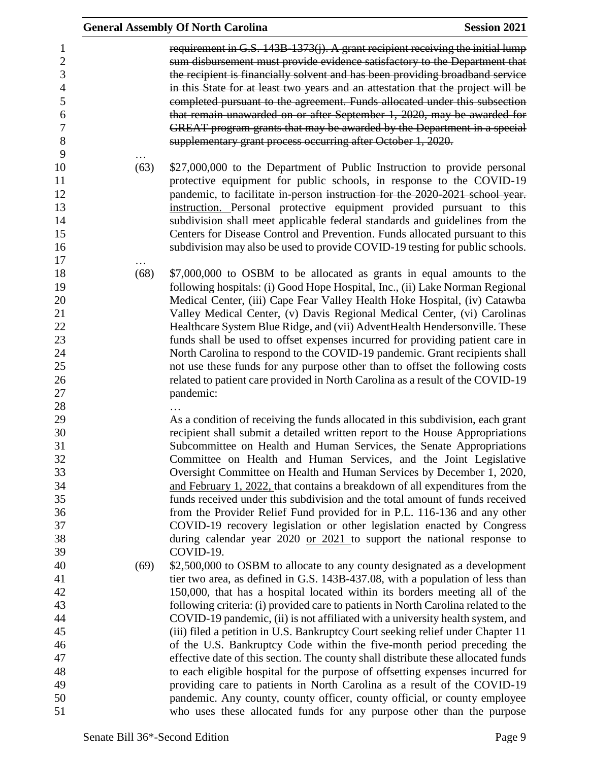|      | <b>General Assembly Of North Carolina</b>                                                                                                                                                                                                                                                                                                                                                                                                                                                                                                                                                                                                                                                                                                                                                                                                                                                                                                                                             | <b>Session 2021</b> |
|------|---------------------------------------------------------------------------------------------------------------------------------------------------------------------------------------------------------------------------------------------------------------------------------------------------------------------------------------------------------------------------------------------------------------------------------------------------------------------------------------------------------------------------------------------------------------------------------------------------------------------------------------------------------------------------------------------------------------------------------------------------------------------------------------------------------------------------------------------------------------------------------------------------------------------------------------------------------------------------------------|---------------------|
|      | requirement in G.S. 143B-1373(j). A grant recipient receiving the initial lump<br>sum disbursement must provide evidence satisfactory to the Department that<br>the recipient is financially solvent and has been providing broadband service<br>in this State for at least two years and an attestation that the project will be<br>completed pursuant to the agreement. Funds allocated under this subsection<br>that remain unawarded on or after September 1, 2020, may be awarded for<br>GREAT program grants that may be awarded by the Department in a special<br>supplementary grant process occurring after October 1, 2020.                                                                                                                                                                                                                                                                                                                                                 |                     |
| (63) | \$27,000,000 to the Department of Public Instruction to provide personal<br>protective equipment for public schools, in response to the COVID-19<br>pandemic, to facilitate in-person instruction for the 2020-2021 school year.<br>instruction. Personal protective equipment provided pursuant to this<br>subdivision shall meet applicable federal standards and guidelines from the<br>Centers for Disease Control and Prevention. Funds allocated pursuant to this<br>subdivision may also be used to provide COVID-19 testing for public schools.                                                                                                                                                                                                                                                                                                                                                                                                                               |                     |
| (68) | \$7,000,000 to OSBM to be allocated as grants in equal amounts to the<br>following hospitals: (i) Good Hope Hospital, Inc., (ii) Lake Norman Regional<br>Medical Center, (iii) Cape Fear Valley Health Hoke Hospital, (iv) Catawba<br>Valley Medical Center, (v) Davis Regional Medical Center, (vi) Carolinas<br>Healthcare System Blue Ridge, and (vii) AdventHealth Hendersonville. These<br>funds shall be used to offset expenses incurred for providing patient care in<br>North Carolina to respond to the COVID-19 pandemic. Grant recipients shall<br>not use these funds for any purpose other than to offset the following costs<br>related to patient care provided in North Carolina as a result of the COVID-19<br>pandemic:                                                                                                                                                                                                                                            |                     |
|      | As a condition of receiving the funds allocated in this subdivision, each grant<br>recipient shall submit a detailed written report to the House Appropriations<br>Subcommittee on Health and Human Services, the Senate Appropriations<br>Committee on Health and Human Services, and the Joint Legislative<br>Oversight Committee on Health and Human Services by December 1, 2020,<br>and February 1, 2022, that contains a breakdown of all expenditures from the<br>funds received under this subdivision and the total amount of funds received<br>from the Provider Relief Fund provided for in P.L. 116-136 and any other<br>COVID-19 recovery legislation or other legislation enacted by Congress<br>during calendar year 2020 or 2021 to support the national response to<br>COVID-19.                                                                                                                                                                                     |                     |
| (69) | \$2,500,000 to OSBM to allocate to any county designated as a development<br>tier two area, as defined in G.S. 143B-437.08, with a population of less than<br>150,000, that has a hospital located within its borders meeting all of the<br>following criteria: (i) provided care to patients in North Carolina related to the<br>COVID-19 pandemic, (ii) is not affiliated with a university health system, and<br>(iii) filed a petition in U.S. Bankruptcy Court seeking relief under Chapter 11<br>of the U.S. Bankruptcy Code within the five-month period preceding the<br>effective date of this section. The county shall distribute these allocated funds<br>to each eligible hospital for the purpose of offsetting expenses incurred for<br>providing care to patients in North Carolina as a result of the COVID-19<br>pandemic. Any county, county officer, county official, or county employee<br>who uses these allocated funds for any purpose other than the purpose |                     |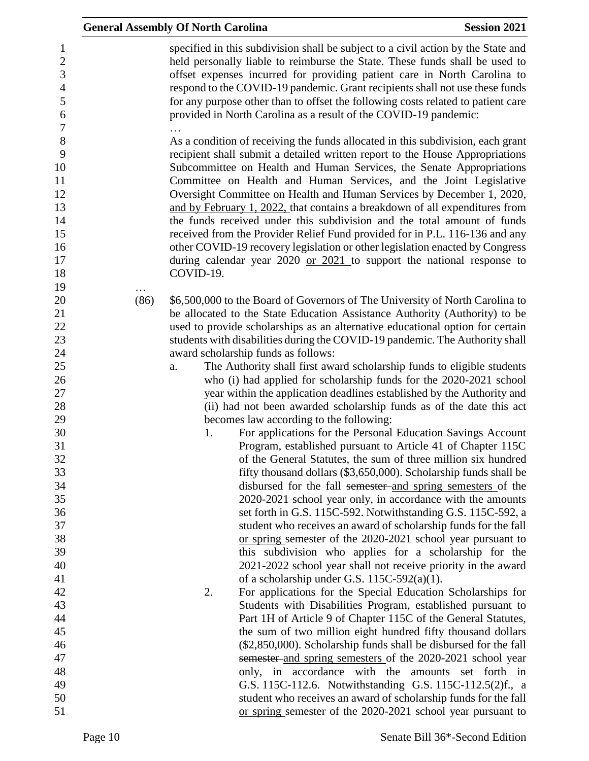|      | <b>General Assembly Of North Carolina</b>                        | <b>Session 2021</b>                                                                                                                                                                                                                                                                                                                                                                                                                                                                                                                                                                                                                                                                                                                                                                         |
|------|------------------------------------------------------------------|---------------------------------------------------------------------------------------------------------------------------------------------------------------------------------------------------------------------------------------------------------------------------------------------------------------------------------------------------------------------------------------------------------------------------------------------------------------------------------------------------------------------------------------------------------------------------------------------------------------------------------------------------------------------------------------------------------------------------------------------------------------------------------------------|
|      | provided in North Carolina as a result of the COVID-19 pandemic: | specified in this subdivision shall be subject to a civil action by the State and<br>held personally liable to reimburse the State. These funds shall be used to<br>offset expenses incurred for providing patient care in North Carolina to<br>respond to the COVID-19 pandemic. Grant recipients shall not use these funds<br>for any purpose other than to offset the following costs related to patient care                                                                                                                                                                                                                                                                                                                                                                            |
|      |                                                                  | As a condition of receiving the funds allocated in this subdivision, each grant<br>recipient shall submit a detailed written report to the House Appropriations<br>Subcommittee on Health and Human Services, the Senate Appropriations<br>Committee on Health and Human Services, and the Joint Legislative<br>Oversight Committee on Health and Human Services by December 1, 2020,<br>and by February 1, 2022, that contains a breakdown of all expenditures from<br>the funds received under this subdivision and the total amount of funds<br>received from the Provider Relief Fund provided for in P.L. 116-136 and any<br>other COVID-19 recovery legislation or other legislation enacted by Congress<br>during calendar year $2020$ or $2021$ to support the national response to |
|      | COVID-19.                                                        |                                                                                                                                                                                                                                                                                                                                                                                                                                                                                                                                                                                                                                                                                                                                                                                             |
|      |                                                                  |                                                                                                                                                                                                                                                                                                                                                                                                                                                                                                                                                                                                                                                                                                                                                                                             |
| (86) |                                                                  | \$6,500,000 to the Board of Governors of The University of North Carolina to                                                                                                                                                                                                                                                                                                                                                                                                                                                                                                                                                                                                                                                                                                                |
|      |                                                                  | be allocated to the State Education Assistance Authority (Authority) to be<br>used to provide scholarships as an alternative educational option for certain                                                                                                                                                                                                                                                                                                                                                                                                                                                                                                                                                                                                                                 |
|      |                                                                  | students with disabilities during the COVID-19 pandemic. The Authority shall                                                                                                                                                                                                                                                                                                                                                                                                                                                                                                                                                                                                                                                                                                                |
|      | award scholarship funds as follows:                              |                                                                                                                                                                                                                                                                                                                                                                                                                                                                                                                                                                                                                                                                                                                                                                                             |
|      | a.                                                               | The Authority shall first award scholarship funds to eligible students                                                                                                                                                                                                                                                                                                                                                                                                                                                                                                                                                                                                                                                                                                                      |
|      |                                                                  | who (i) had applied for scholarship funds for the 2020-2021 school                                                                                                                                                                                                                                                                                                                                                                                                                                                                                                                                                                                                                                                                                                                          |
|      |                                                                  | year within the application deadlines established by the Authority and                                                                                                                                                                                                                                                                                                                                                                                                                                                                                                                                                                                                                                                                                                                      |
|      |                                                                  | (ii) had not been awarded scholarship funds as of the date this act                                                                                                                                                                                                                                                                                                                                                                                                                                                                                                                                                                                                                                                                                                                         |
|      | becomes law according to the following:                          |                                                                                                                                                                                                                                                                                                                                                                                                                                                                                                                                                                                                                                                                                                                                                                                             |
|      | 1.                                                               | For applications for the Personal Education Savings Account<br>Program, established pursuant to Article 41 of Chapter 115C                                                                                                                                                                                                                                                                                                                                                                                                                                                                                                                                                                                                                                                                  |
|      |                                                                  | of the General Statutes, the sum of three million six hundred                                                                                                                                                                                                                                                                                                                                                                                                                                                                                                                                                                                                                                                                                                                               |
|      |                                                                  | fifty thousand dollars (\$3,650,000). Scholarship funds shall be                                                                                                                                                                                                                                                                                                                                                                                                                                                                                                                                                                                                                                                                                                                            |
|      |                                                                  | disbursed for the fall semester and spring semesters of the                                                                                                                                                                                                                                                                                                                                                                                                                                                                                                                                                                                                                                                                                                                                 |
|      |                                                                  | 2020-2021 school year only, in accordance with the amounts                                                                                                                                                                                                                                                                                                                                                                                                                                                                                                                                                                                                                                                                                                                                  |
|      |                                                                  | set forth in G.S. 115C-592. Notwithstanding G.S. 115C-592, a                                                                                                                                                                                                                                                                                                                                                                                                                                                                                                                                                                                                                                                                                                                                |
|      |                                                                  | student who receives an award of scholarship funds for the fall                                                                                                                                                                                                                                                                                                                                                                                                                                                                                                                                                                                                                                                                                                                             |
|      |                                                                  | or spring semester of the 2020-2021 school year pursuant to                                                                                                                                                                                                                                                                                                                                                                                                                                                                                                                                                                                                                                                                                                                                 |
|      |                                                                  | this subdivision who applies for a scholarship for the                                                                                                                                                                                                                                                                                                                                                                                                                                                                                                                                                                                                                                                                                                                                      |
|      |                                                                  | 2021-2022 school year shall not receive priority in the award<br>of a scholarship under G.S. $115C-592(a)(1)$ .                                                                                                                                                                                                                                                                                                                                                                                                                                                                                                                                                                                                                                                                             |
|      | 2.                                                               | For applications for the Special Education Scholarships for                                                                                                                                                                                                                                                                                                                                                                                                                                                                                                                                                                                                                                                                                                                                 |
|      |                                                                  | Students with Disabilities Program, established pursuant to                                                                                                                                                                                                                                                                                                                                                                                                                                                                                                                                                                                                                                                                                                                                 |
|      |                                                                  | Part 1H of Article 9 of Chapter 115C of the General Statutes,                                                                                                                                                                                                                                                                                                                                                                                                                                                                                                                                                                                                                                                                                                                               |
|      |                                                                  | the sum of two million eight hundred fifty thousand dollars                                                                                                                                                                                                                                                                                                                                                                                                                                                                                                                                                                                                                                                                                                                                 |
|      |                                                                  | (\$2,850,000). Scholarship funds shall be disbursed for the fall                                                                                                                                                                                                                                                                                                                                                                                                                                                                                                                                                                                                                                                                                                                            |
|      |                                                                  | semester and spring semesters of the 2020-2021 school year                                                                                                                                                                                                                                                                                                                                                                                                                                                                                                                                                                                                                                                                                                                                  |
|      |                                                                  | only, in accordance with the amounts set forth in                                                                                                                                                                                                                                                                                                                                                                                                                                                                                                                                                                                                                                                                                                                                           |
|      |                                                                  | G.S. 115C-112.6. Notwithstanding G.S. 115C-112.5(2)f., a                                                                                                                                                                                                                                                                                                                                                                                                                                                                                                                                                                                                                                                                                                                                    |
|      |                                                                  | student who receives an award of scholarship funds for the fall                                                                                                                                                                                                                                                                                                                                                                                                                                                                                                                                                                                                                                                                                                                             |
|      |                                                                  | or spring semester of the 2020-2021 school year pursuant to                                                                                                                                                                                                                                                                                                                                                                                                                                                                                                                                                                                                                                                                                                                                 |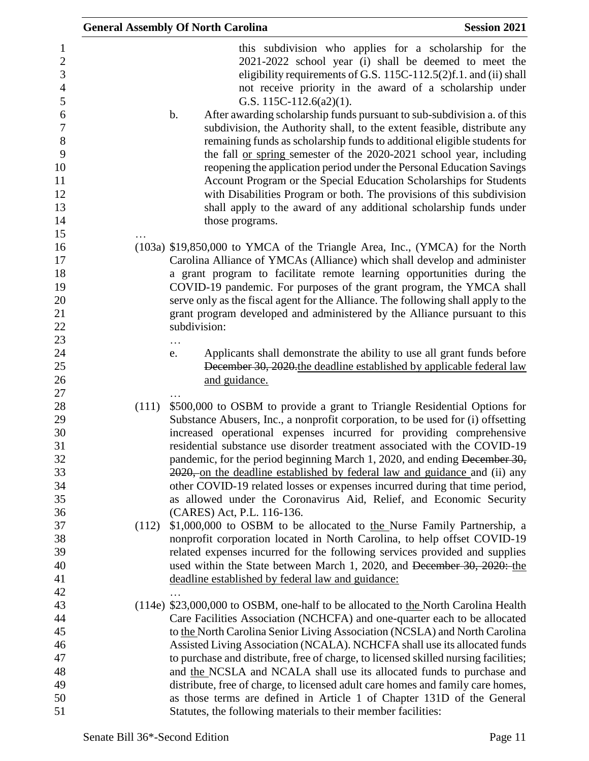|                                                                                                                           | <b>General Assembly Of North Carolina</b>                                                                                                                                                                                                                                                                                                                                                                                                                                                                                                                                                                                                                                                                                                                                                                                                                                                        | <b>Session 2021</b> |
|---------------------------------------------------------------------------------------------------------------------------|--------------------------------------------------------------------------------------------------------------------------------------------------------------------------------------------------------------------------------------------------------------------------------------------------------------------------------------------------------------------------------------------------------------------------------------------------------------------------------------------------------------------------------------------------------------------------------------------------------------------------------------------------------------------------------------------------------------------------------------------------------------------------------------------------------------------------------------------------------------------------------------------------|---------------------|
| $\mathbf{1}$<br>$\overline{2}$<br>3<br>$\overline{4}$<br>5<br>6<br>$\boldsymbol{7}$<br>$8\,$<br>9<br>10<br>11<br>12<br>13 | this subdivision who applies for a scholarship for the<br>2021-2022 school year (i) shall be deemed to meet the<br>eligibility requirements of G.S. 115C-112.5(2)f.1. and (ii) shall<br>not receive priority in the award of a scholarship under<br>G.S. 115C-112.6(a2)(1).<br>b.<br>After awarding scholarship funds pursuant to sub-subdivision a. of this<br>subdivision, the Authority shall, to the extent feasible, distribute any<br>remaining funds as scholarship funds to additional eligible students for<br>the fall <u>or spring</u> semester of the 2020-2021 school year, including<br>reopening the application period under the Personal Education Savings<br>Account Program or the Special Education Scholarships for Students<br>with Disabilities Program or both. The provisions of this subdivision<br>shall apply to the award of any additional scholarship funds under |                     |
| 14                                                                                                                        | those programs.                                                                                                                                                                                                                                                                                                                                                                                                                                                                                                                                                                                                                                                                                                                                                                                                                                                                                  |                     |
| 15                                                                                                                        |                                                                                                                                                                                                                                                                                                                                                                                                                                                                                                                                                                                                                                                                                                                                                                                                                                                                                                  |                     |
| 16<br>17<br>18<br>19<br>20<br>21<br>22<br>23                                                                              | (103a) \$19,850,000 to YMCA of the Triangle Area, Inc., (YMCA) for the North<br>Carolina Alliance of YMCAs (Alliance) which shall develop and administer<br>a grant program to facilitate remote learning opportunities during the<br>COVID-19 pandemic. For purposes of the grant program, the YMCA shall<br>serve only as the fiscal agent for the Alliance. The following shall apply to the<br>grant program developed and administered by the Alliance pursuant to this<br>subdivision:<br>.                                                                                                                                                                                                                                                                                                                                                                                                |                     |
| 24<br>25<br>26<br>27                                                                                                      | Applicants shall demonstrate the ability to use all grant funds before<br>e.<br>December 30, 2020 the deadline established by applicable federal law<br>and guidance.                                                                                                                                                                                                                                                                                                                                                                                                                                                                                                                                                                                                                                                                                                                            |                     |
| 28<br>29<br>30<br>31<br>32<br>33<br>34<br>35<br>36                                                                        | \$500,000 to OSBM to provide a grant to Triangle Residential Options for<br>(111)<br>Substance Abusers, Inc., a nonprofit corporation, to be used for (i) offsetting<br>increased operational expenses incurred for providing comprehensive<br>residential substance use disorder treatment associated with the COVID-19<br>pandemic, for the period beginning March 1, 2020, and ending December 30,<br>2020, on the deadline established by federal law and guidance and (ii) any<br>other COVID-19 related losses or expenses incurred during that time period,<br>as allowed under the Coronavirus Aid, Relief, and Economic Security<br>(CARES) Act, P.L. 116-136.                                                                                                                                                                                                                          |                     |
| 37<br>38<br>39<br>40<br>41<br>42                                                                                          | \$1,000,000 to OSBM to be allocated to the Nurse Family Partnership, a<br>(112)<br>nonprofit corporation located in North Carolina, to help offset COVID-19<br>related expenses incurred for the following services provided and supplies<br>used within the State between March 1, 2020, and December 30, 2020: the<br>deadline established by federal law and guidance:                                                                                                                                                                                                                                                                                                                                                                                                                                                                                                                        |                     |
| 43<br>44<br>45<br>46<br>47<br>48<br>49                                                                                    | (114e) \$23,000,000 to OSBM, one-half to be allocated to the North Carolina Health<br>Care Facilities Association (NCHCFA) and one-quarter each to be allocated<br>to the North Carolina Senior Living Association (NCSLA) and North Carolina<br>Assisted Living Association (NCALA). NCHCFA shall use its allocated funds<br>to purchase and distribute, free of charge, to licensed skilled nursing facilities;<br>and the NCSLA and NCALA shall use its allocated funds to purchase and<br>distribute, free of charge, to licensed adult care homes and family care homes,                                                                                                                                                                                                                                                                                                                    |                     |
| 50                                                                                                                        | as those terms are defined in Article 1 of Chapter 131D of the General                                                                                                                                                                                                                                                                                                                                                                                                                                                                                                                                                                                                                                                                                                                                                                                                                           |                     |
| 51                                                                                                                        | Statutes, the following materials to their member facilities:                                                                                                                                                                                                                                                                                                                                                                                                                                                                                                                                                                                                                                                                                                                                                                                                                                    |                     |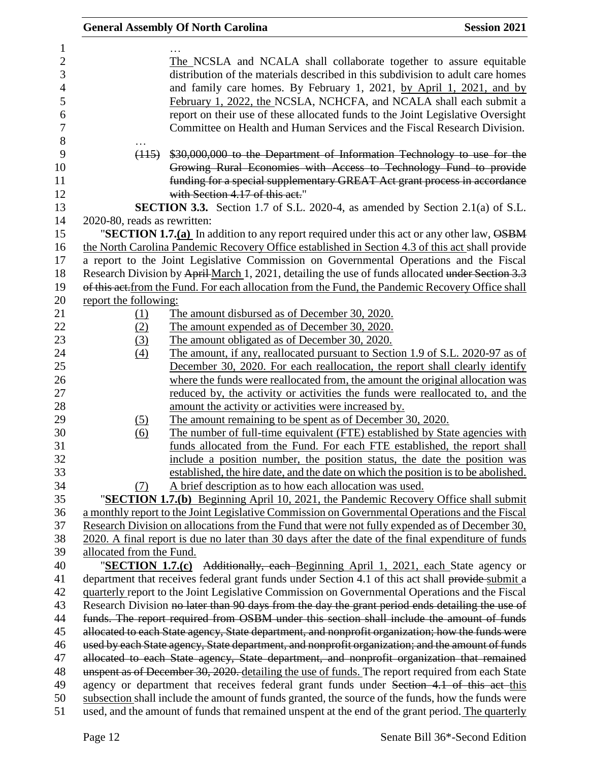|                              | <b>General Assembly Of North Carolina</b>                                                                                                                                                                                                                                                                                                                                                                                                                          | <b>Session 2021</b> |
|------------------------------|--------------------------------------------------------------------------------------------------------------------------------------------------------------------------------------------------------------------------------------------------------------------------------------------------------------------------------------------------------------------------------------------------------------------------------------------------------------------|---------------------|
|                              | The NCSLA and NCALA shall collaborate together to assure equitable<br>distribution of the materials described in this subdivision to adult care homes<br>and family care homes. By February 1, 2021, by April 1, 2021, and by<br>February 1, 2022, the NCSLA, NCHCFA, and NCALA shall each submit a<br>report on their use of these allocated funds to the Joint Legislative Oversight<br>Committee on Health and Human Services and the Fiscal Research Division. |                     |
|                              | (115) \$30,000,000 to the Department of Information Technology to use for the<br>Growing Rural Economies with Access to Technology Fund to provide<br>funding for a special supplementary GREAT Act grant process in accordance<br>with Section 4.17 of this act."                                                                                                                                                                                                 |                     |
|                              | <b>SECTION 3.3.</b> Section 1.7 of S.L. 2020-4, as amended by Section 2.1(a) of S.L.                                                                                                                                                                                                                                                                                                                                                                               |                     |
| 2020-80, reads as rewritten: |                                                                                                                                                                                                                                                                                                                                                                                                                                                                    |                     |
|                              | "SECTION 1.7. $(a)$ In addition to any report required under this act or any other law, $\overrightarrow{OSBM}$<br>the North Carolina Pandemic Recovery Office established in Section 4.3 of this act shall provide<br>a report to the Joint Legislative Commission on Governmental Operations and the Fiscal                                                                                                                                                      |                     |
|                              | Research Division by April-March 1, 2021, detailing the use of funds allocated under Section 3.3                                                                                                                                                                                                                                                                                                                                                                   |                     |
|                              | of this act. from the Fund. For each allocation from the Fund, the Pandemic Recovery Office shall                                                                                                                                                                                                                                                                                                                                                                  |                     |
| report the following:        |                                                                                                                                                                                                                                                                                                                                                                                                                                                                    |                     |
| <u>(1)</u>                   | The amount disbursed as of December 30, 2020.                                                                                                                                                                                                                                                                                                                                                                                                                      |                     |
| (2)                          | The amount expended as of December 30, 2020.                                                                                                                                                                                                                                                                                                                                                                                                                       |                     |
| (3)                          | The amount obligated as of December 30, 2020.                                                                                                                                                                                                                                                                                                                                                                                                                      |                     |
| $\left(4\right)$             | The amount, if any, reallocated pursuant to Section 1.9 of S.L. 2020-97 as of                                                                                                                                                                                                                                                                                                                                                                                      |                     |
|                              | December 30, 2020. For each reallocation, the report shall clearly identify                                                                                                                                                                                                                                                                                                                                                                                        |                     |
|                              | where the funds were reallocated from, the amount the original allocation was                                                                                                                                                                                                                                                                                                                                                                                      |                     |
|                              | reduced by, the activity or activities the funds were reallocated to, and the                                                                                                                                                                                                                                                                                                                                                                                      |                     |
|                              | amount the activity or activities were increased by.                                                                                                                                                                                                                                                                                                                                                                                                               |                     |
| <u>(5)</u>                   | <u>The amount remaining to be spent as of December 30, 2020.</u>                                                                                                                                                                                                                                                                                                                                                                                                   |                     |
| (6)                          | The number of full-time equivalent (FTE) established by State agencies with                                                                                                                                                                                                                                                                                                                                                                                        |                     |
|                              | funds allocated from the Fund. For each FTE established, the report shall                                                                                                                                                                                                                                                                                                                                                                                          |                     |
|                              | include a position number, the position status, the date the position was                                                                                                                                                                                                                                                                                                                                                                                          |                     |
|                              | established, the hire date, and the date on which the position is to be abolished.                                                                                                                                                                                                                                                                                                                                                                                 |                     |
| (7)                          | A brief description as to how each allocation was used.                                                                                                                                                                                                                                                                                                                                                                                                            |                     |
|                              | "SECTION 1.7.(b) Beginning April 10, 2021, the Pandemic Recovery Office shall submit                                                                                                                                                                                                                                                                                                                                                                               |                     |
|                              | a monthly report to the Joint Legislative Commission on Governmental Operations and the Fiscal                                                                                                                                                                                                                                                                                                                                                                     |                     |
|                              | Research Division on allocations from the Fund that were not fully expended as of December 30,                                                                                                                                                                                                                                                                                                                                                                     |                     |
|                              | 2020. A final report is due no later than 30 days after the date of the final expenditure of funds                                                                                                                                                                                                                                                                                                                                                                 |                     |
| allocated from the Fund.     |                                                                                                                                                                                                                                                                                                                                                                                                                                                                    |                     |
|                              | " <b>SECTION 1.7.(c)</b> Additionally, each Beginning April 1, 2021, each State agency or                                                                                                                                                                                                                                                                                                                                                                          |                     |
|                              | department that receives federal grant funds under Section 4.1 of this act shall provide submit a                                                                                                                                                                                                                                                                                                                                                                  |                     |
|                              | quarterly report to the Joint Legislative Commission on Governmental Operations and the Fiscal                                                                                                                                                                                                                                                                                                                                                                     |                     |
|                              | Research Division no later than 90 days from the day the grant period ends detailing the use of                                                                                                                                                                                                                                                                                                                                                                    |                     |
|                              | funds. The report required from OSBM under this section shall include the amount of funds<br>allocated to each State agency, State department, and nonprofit organization; how the funds were                                                                                                                                                                                                                                                                      |                     |
|                              | used by each State agency, State department, and nonprofit organization; and the amount of funds                                                                                                                                                                                                                                                                                                                                                                   |                     |
|                              | allocated to each State agency, State department, and nonprofit organization that remained                                                                                                                                                                                                                                                                                                                                                                         |                     |
|                              | unspent as of December 30, 2020. detailing the use of funds. The report required from each State                                                                                                                                                                                                                                                                                                                                                                   |                     |
|                              | agency or department that receives federal grant funds under Section 4.1 of this act this                                                                                                                                                                                                                                                                                                                                                                          |                     |
|                              | subsection shall include the amount of funds granted, the source of the funds, how the funds were                                                                                                                                                                                                                                                                                                                                                                  |                     |
|                              | used, and the amount of funds that remained unspent at the end of the grant period. The quarterly                                                                                                                                                                                                                                                                                                                                                                  |                     |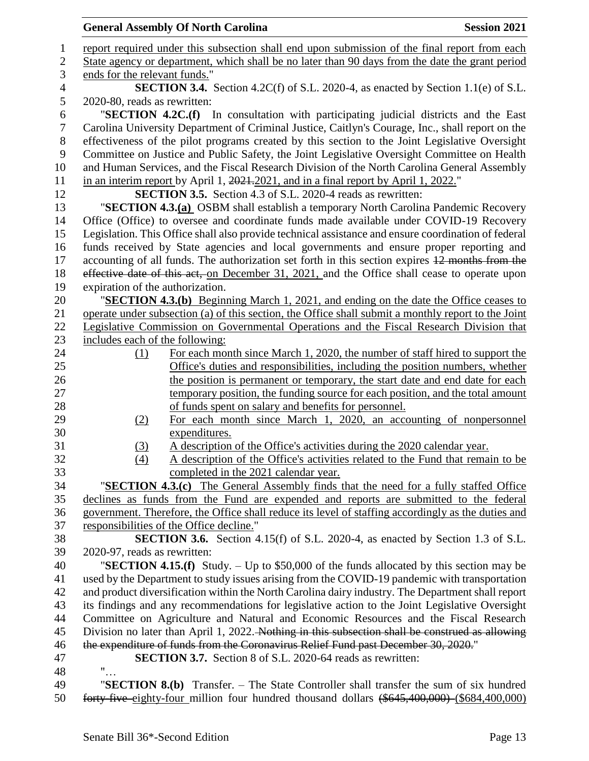|                     | <b>General Assembly Of North Carolina</b>                                                                                | <b>Session 2021</b> |
|---------------------|--------------------------------------------------------------------------------------------------------------------------|---------------------|
| $\mathbf{1}$        | report required under this subsection shall end upon submission of the final report from each                            |                     |
| $\sqrt{2}$          | State agency or department, which shall be no later than 90 days from the date the grant period                          |                     |
| 3                   | ends for the relevant funds."                                                                                            |                     |
| $\overline{4}$<br>5 | <b>SECTION 3.4.</b> Section 4.2C(f) of S.L. 2020-4, as enacted by Section 1.1(e) of S.L.<br>2020-80, reads as rewritten: |                     |
| 6                   | "SECTION 4.2C.(f) In consultation with participating judicial districts and the East                                     |                     |
| $\tau$              | Carolina University Department of Criminal Justice, Caitlyn's Courage, Inc., shall report on the                         |                     |
| 8                   | effectiveness of the pilot programs created by this section to the Joint Legislative Oversight                           |                     |
| 9                   | Committee on Justice and Public Safety, the Joint Legislative Oversight Committee on Health                              |                     |
| 10                  | and Human Services, and the Fiscal Research Division of the North Carolina General Assembly                              |                     |
| 11                  | in an interim report by April 1, 2021, 2021, and in a final report by April 1, 2022."                                    |                     |
| 12                  | <b>SECTION 3.5.</b> Section 4.3 of S.L. 2020-4 reads as rewritten:                                                       |                     |
| 13                  | "SECTION 4.3.(a) OSBM shall establish a temporary North Carolina Pandemic Recovery                                       |                     |
| 14                  | Office (Office) to oversee and coordinate funds made available under COVID-19 Recovery                                   |                     |
| 15                  | Legislation. This Office shall also provide technical assistance and ensure coordination of federal                      |                     |
| 16                  | funds received by State agencies and local governments and ensure proper reporting and                                   |                     |
| 17                  | accounting of all funds. The authorization set forth in this section expires 12 months from the                          |                     |
| 18                  | effective date of this act, on December 31, 2021, and the Office shall cease to operate upon                             |                     |
| 19                  | expiration of the authorization.                                                                                         |                     |
| 20                  | "SECTION 4.3.(b) Beginning March 1, 2021, and ending on the date the Office ceases to                                    |                     |
| 21                  | operate under subsection (a) of this section, the Office shall submit a monthly report to the Joint                      |                     |
| 22                  | Legislative Commission on Governmental Operations and the Fiscal Research Division that                                  |                     |
| 23                  | includes each of the following:                                                                                          |                     |
| 24                  | For each month since March 1, 2020, the number of staff hired to support the<br>(1)                                      |                     |
| 25                  | Office's duties and responsibilities, including the position numbers, whether                                            |                     |
| 26                  | the position is permanent or temporary, the start date and end date for each                                             |                     |
| 27                  | temporary position, the funding source for each position, and the total amount                                           |                     |
| 28                  | of funds spent on salary and benefits for personnel.                                                                     |                     |
| 29                  | For each month since March 1, 2020, an accounting of nonpersonnel<br>(2)                                                 |                     |
| 30                  | expenditures.                                                                                                            |                     |
| 31                  | A description of the Office's activities during the 2020 calendar year.<br>(3)                                           |                     |
| 32                  | A description of the Office's activities related to the Fund that remain to be<br>(4)                                    |                     |
| 33                  | completed in the 2021 calendar year.                                                                                     |                     |
| 34                  | "SECTION 4.3.(c) The General Assembly finds that the need for a fully staffed Office                                     |                     |
| 35                  | declines as funds from the Fund are expended and reports are submitted to the federal                                    |                     |
| 36                  | government. Therefore, the Office shall reduce its level of staffing accordingly as the duties and                       |                     |
| 37                  | responsibilities of the Office decline."                                                                                 |                     |
| 38<br>39            | <b>SECTION 3.6.</b> Section 4.15(f) of S.L. 2020-4, as enacted by Section 1.3 of S.L.<br>2020-97, reads as rewritten:    |                     |
| 40                  | "SECTION 4.15.(f) Study. $-$ Up to \$50,000 of the funds allocated by this section may be                                |                     |
| 41                  | used by the Department to study issues arising from the COVID-19 pandemic with transportation                            |                     |
| 42                  | and product diversification within the North Carolina dairy industry. The Department shall report                        |                     |
| 43                  | its findings and any recommendations for legislative action to the Joint Legislative Oversight                           |                     |
| 44                  | Committee on Agriculture and Natural and Economic Resources and the Fiscal Research                                      |                     |
| 45                  | Division no later than April 1, 2022. Nothing in this subsection shall be construed as allowing                          |                     |
| 46                  | the expenditure of funds from the Coronavirus Relief Fund past December 30, 2020."                                       |                     |
| 47                  | <b>SECTION 3.7.</b> Section 8 of S.L. 2020-64 reads as rewritten:                                                        |                     |
| 48                  | $\mathbf{u}_{\ldots}$                                                                                                    |                     |
| 49                  | "SECTION 8.(b) Transfer. - The State Controller shall transfer the sum of six hundred                                    |                     |
| 50                  | forty-five-eighty-four million four hundred thousand dollars (\$645,400,000) (\$684,400,000)                             |                     |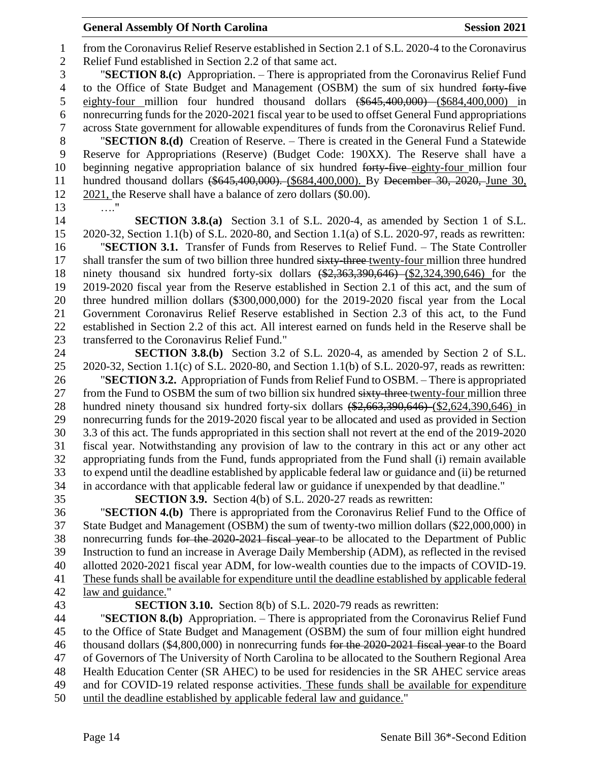## **General Assembly Of North Carolina Session 2021**

 from the Coronavirus Relief Reserve established in Section 2.1 of S.L. 2020-4 to the Coronavirus Relief Fund established in Section 2.2 of that same act.

 "**SECTION 8.(c)** Appropriation. – There is appropriated from the Coronavirus Relief Fund 4 to the Office of State Budget and Management (OSBM) the sum of six hundred forty-five eighty-four million four hundred thousand dollars (\$645,400,000) (\$684,400,000) in nonrecurring funds for the 2020-2021 fiscal year to be used to offset General Fund appropriations across State government for allowable expenditures of funds from the Coronavirus Relief Fund. "**SECTION 8.(d)** Creation of Reserve. – There is created in the General Fund a Statewide Reserve for Appropriations (Reserve) (Budget Code: 190XX). The Reserve shall have a

10 beginning negative appropriation balance of six hundred forty-five eighty-four million four hundred thousand dollars (\$645,400,000). (\$684,400,000). By December 30, 2020, June 30, 2021, the Reserve shall have a balance of zero dollars (\$0.00). …."

 **SECTION 3.8.(a)** Section 3.1 of S.L. 2020-4, as amended by Section 1 of S.L. 2020-32, Section 1.1(b) of S.L. 2020-80, and Section 1.1(a) of S.L. 2020-97, reads as rewritten: "**SECTION 3.1.** Transfer of Funds from Reserves to Relief Fund. – The State Controller 17 shall transfer the sum of two billion three hundred sixty-three-twenty-four million three hundred ninety thousand six hundred forty-six dollars (\$2,363,390,646) (\$2,324,390,646) for the 2019-2020 fiscal year from the Reserve established in Section 2.1 of this act, and the sum of three hundred million dollars (\$300,000,000) for the 2019-2020 fiscal year from the Local Government Coronavirus Relief Reserve established in Section 2.3 of this act, to the Fund established in Section 2.2 of this act. All interest earned on funds held in the Reserve shall be transferred to the Coronavirus Relief Fund."

 **SECTION 3.8.(b)** Section 3.2 of S.L. 2020-4, as amended by Section 2 of S.L. 2020-32, Section 1.1(c) of S.L. 2020-80, and Section 1.1(b) of S.L. 2020-97, reads as rewritten:

 "**SECTION 3.2.** Appropriation of Funds from Relief Fund to OSBM. – There is appropriated 27 from the Fund to OSBM the sum of two billion six hundred sixty-three twenty-four million three 28 hundred ninety thousand six hundred forty-six dollars  $(\frac{2,663,390,646}{\sqrt{(2,624,390,646)}})$  in nonrecurring funds for the 2019-2020 fiscal year to be allocated and used as provided in Section 3.3 of this act. The funds appropriated in this section shall not revert at the end of the 2019-2020 fiscal year. Notwithstanding any provision of law to the contrary in this act or any other act appropriating funds from the Fund, funds appropriated from the Fund shall (i) remain available to expend until the deadline established by applicable federal law or guidance and (ii) be returned in accordance with that applicable federal law or guidance if unexpended by that deadline."

**SECTION 3.9.** Section 4(b) of S.L. 2020-27 reads as rewritten:

 "**SECTION 4.(b)** There is appropriated from the Coronavirus Relief Fund to the Office of State Budget and Management (OSBM) the sum of twenty-two million dollars (\$22,000,000) in nonrecurring funds for the 2020-2021 fiscal year to be allocated to the Department of Public Instruction to fund an increase in Average Daily Membership (ADM), as reflected in the revised allotted 2020-2021 fiscal year ADM, for low-wealth counties due to the impacts of COVID-19. These funds shall be available for expenditure until the deadline established by applicable federal law and guidance."

**SECTION 3.10.** Section 8(b) of S.L. 2020-79 reads as rewritten:

 "**SECTION 8.(b)** Appropriation. – There is appropriated from the Coronavirus Relief Fund to the Office of State Budget and Management (OSBM) the sum of four million eight hundred 46 thousand dollars (\$4,800,000) in nonrecurring funds for the 2020-2021 fiscal year to the Board of Governors of The University of North Carolina to be allocated to the Southern Regional Area Health Education Center (SR AHEC) to be used for residencies in the SR AHEC service areas and for COVID-19 related response activities. These funds shall be available for expenditure until the deadline established by applicable federal law and guidance."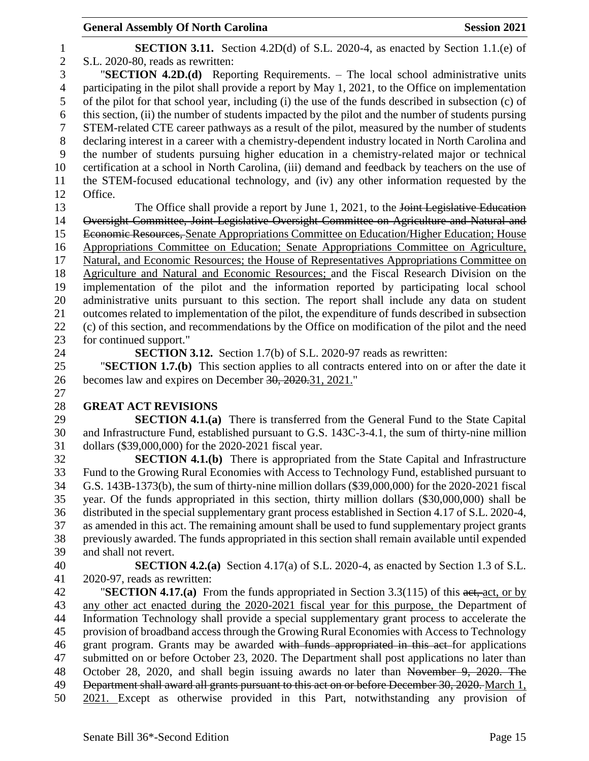**SECTION 3.11.** Section 4.2D(d) of S.L. 2020-4, as enacted by Section 1.1.(e) of S.L. 2020-80, reads as rewritten: "**SECTION 4.2D.(d)** Reporting Requirements. – The local school administrative units participating in the pilot shall provide a report by May 1, 2021, to the Office on implementation of the pilot for that school year, including (i) the use of the funds described in subsection (c) of this section, (ii) the number of students impacted by the pilot and the number of students pursing STEM-related CTE career pathways as a result of the pilot, measured by the number of students declaring interest in a career with a chemistry-dependent industry located in North Carolina and the number of students pursuing higher education in a chemistry-related major or technical certification at a school in North Carolina, (iii) demand and feedback by teachers on the use of the STEM-focused educational technology, and (iv) any other information requested by the Office. 13 The Office shall provide a report by June 1, 2021, to the <del>Joint Legislative Education</del> Oversight Committee, Joint Legislative Oversight Committee on Agriculture and Natural and Economic Resources, Senate Appropriations Committee on Education/Higher Education; House Appropriations Committee on Education; Senate Appropriations Committee on Agriculture, Natural, and Economic Resources; the House of Representatives Appropriations Committee on Agriculture and Natural and Economic Resources; and the Fiscal Research Division on the implementation of the pilot and the information reported by participating local school administrative units pursuant to this section. The report shall include any data on student outcomes related to implementation of the pilot, the expenditure of funds described in subsection (c) of this section, and recommendations by the Office on modification of the pilot and the need for continued support." **SECTION 3.12.** Section 1.7(b) of S.L. 2020-97 reads as rewritten: "**SECTION 1.7.(b)** This section applies to all contracts entered into on or after the date it becomes law and expires on December 30, 2020.31, 2021." **GREAT ACT REVISIONS SECTION 4.1.(a)** There is transferred from the General Fund to the State Capital and Infrastructure Fund, established pursuant to G.S. 143C-3-4.1, the sum of thirty-nine million dollars (\$39,000,000) for the 2020-2021 fiscal year. **SECTION 4.1.(b)** There is appropriated from the State Capital and Infrastructure Fund to the Growing Rural Economies with Access to Technology Fund, established pursuant to G.S. 143B-1373(b), the sum of thirty-nine million dollars (\$39,000,000) for the 2020-2021 fiscal year. Of the funds appropriated in this section, thirty million dollars (\$30,000,000) shall be distributed in the special supplementary grant process established in Section 4.17 of S.L. 2020-4, as amended in this act. The remaining amount shall be used to fund supplementary project grants previously awarded. The funds appropriated in this section shall remain available until expended and shall not revert. **SECTION 4.2.(a)** Section 4.17(a) of S.L. 2020-4, as enacted by Section 1.3 of S.L. 2020-97, reads as rewritten: "**SECTION 4.17.(a)** From the funds appropriated in Section 3.3(115) of this act, act, or by any other act enacted during the 2020-2021 fiscal year for this purpose, the Department of Information Technology shall provide a special supplementary grant process to accelerate the provision of broadband access through the Growing Rural Economies with Access to Technology 46 grant program. Grants may be awarded with funds appropriated in this act for applications submitted on or before October 23, 2020. The Department shall post applications no later than October 28, 2020, and shall begin issuing awards no later than November 9, 2020. The 49 Department shall award all grants pursuant to this act on or before December 30, 2020. March 1, 2021. Except as otherwise provided in this Part, notwithstanding any provision of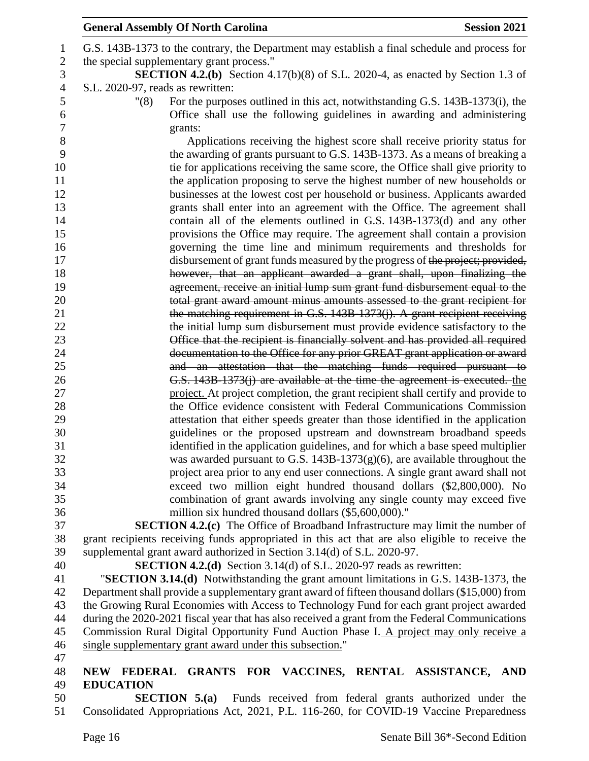| <b>General Assembly Of North Carolina</b><br><b>Session 2021</b>                                                                                                                              |
|-----------------------------------------------------------------------------------------------------------------------------------------------------------------------------------------------|
| G.S. 143B-1373 to the contrary, the Department may establish a final schedule and process for                                                                                                 |
| the special supplementary grant process."                                                                                                                                                     |
| <b>SECTION 4.2.(b)</b> Section 4.17(b)(8) of S.L. 2020-4, as enacted by Section 1.3 of                                                                                                        |
| S.L. 2020-97, reads as rewritten:                                                                                                                                                             |
| For the purposes outlined in this act, notwithstanding G.S. 143B-1373(i), the<br>"(8)                                                                                                         |
| Office shall use the following guidelines in awarding and administering                                                                                                                       |
| grants:                                                                                                                                                                                       |
| Applications receiving the highest score shall receive priority status for                                                                                                                    |
| the awarding of grants pursuant to G.S. 143B-1373. As a means of breaking a                                                                                                                   |
| tie for applications receiving the same score, the Office shall give priority to                                                                                                              |
| the application proposing to serve the highest number of new households or                                                                                                                    |
| businesses at the lowest cost per household or business. Applicants awarded                                                                                                                   |
| grants shall enter into an agreement with the Office. The agreement shall                                                                                                                     |
| contain all of the elements outlined in G.S. 143B-1373(d) and any other                                                                                                                       |
| provisions the Office may require. The agreement shall contain a provision                                                                                                                    |
| governing the time line and minimum requirements and thresholds for                                                                                                                           |
| disbursement of grant funds measured by the progress of the project; provided,                                                                                                                |
| however, that an applicant awarded a grant shall, upon finalizing the                                                                                                                         |
| agreement, receive an initial lump sum grant fund disbursement equal to the                                                                                                                   |
| total grant award amount minus amounts assessed to the grant recipient for                                                                                                                    |
| the matching requirement in G.S. 143B-1373(j). A grant recipient receiving                                                                                                                    |
| the initial lump sum disbursement must provide evidence satisfactory to the                                                                                                                   |
| Office that the recipient is financially solvent and has provided all required                                                                                                                |
| documentation to the Office for any prior GREAT grant application or award                                                                                                                    |
| and an attestation that the matching funds required pursuant to                                                                                                                               |
| G.S. 143B-1373(j) are available at the time the agreement is executed. the                                                                                                                    |
| project. At project completion, the grant recipient shall certify and provide to                                                                                                              |
| the Office evidence consistent with Federal Communications Commission                                                                                                                         |
| attestation that either speeds greater than those identified in the application                                                                                                               |
| guidelines or the proposed upstream and downstream broadband speeds                                                                                                                           |
| identified in the application guidelines, and for which a base speed multiplier                                                                                                               |
| was awarded pursuant to G.S. $143B-1373(g)(6)$ , are available throughout the                                                                                                                 |
| project area prior to any end user connections. A single grant award shall not                                                                                                                |
| exceed two million eight hundred thousand dollars (\$2,800,000). No                                                                                                                           |
| combination of grant awards involving any single county may exceed five                                                                                                                       |
| million six hundred thousand dollars (\$5,600,000)."                                                                                                                                          |
| <b>SECTION 4.2.(c)</b> The Office of Broadband Infrastructure may limit the number of                                                                                                         |
| grant recipients receiving funds appropriated in this act that are also eligible to receive the                                                                                               |
| supplemental grant award authorized in Section 3.14(d) of S.L. 2020-97.                                                                                                                       |
| <b>SECTION 4.2.(d)</b> Section 3.14(d) of S.L. 2020-97 reads as rewritten:                                                                                                                    |
| "SECTION 3.14.(d) Notwithstanding the grant amount limitations in G.S. 143B-1373, the                                                                                                         |
| Department shall provide a supplementary grant award of fifteen thousand dollars (\$15,000) from<br>the Growing Rural Economies with Access to Technology Fund for each grant project awarded |
| during the 2020-2021 fiscal year that has also received a grant from the Federal Communications                                                                                               |
| Commission Rural Digital Opportunity Fund Auction Phase I. A project may only receive a                                                                                                       |
|                                                                                                                                                                                               |

- 46 single supplementary grant award under this subsection."
- 

# **NEW FEDERAL GRANTS FOR VACCINES, RENTAL ASSISTANCE, AND EDUCATION**

 **SECTION 5.(a)** Funds received from federal grants authorized under the Consolidated Appropriations Act, 2021, P.L. 116-260, for COVID-19 Vaccine Preparedness